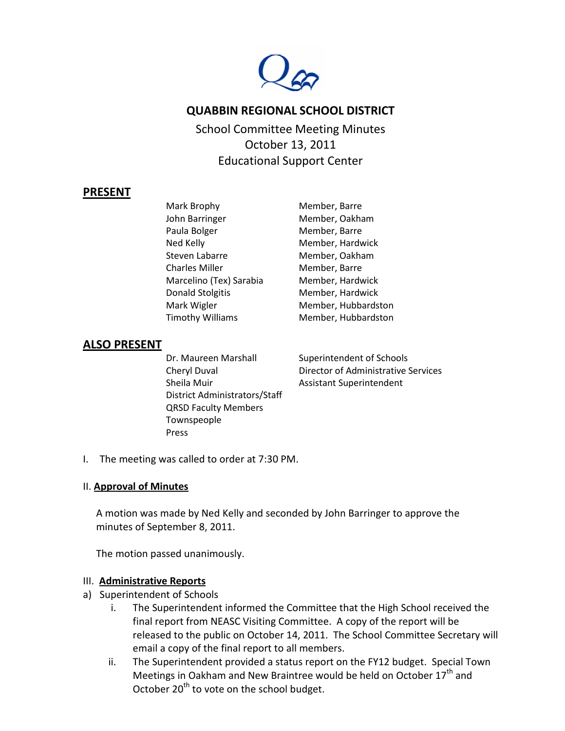

# **QUABBIN REGIONAL SCHOOL DISTRICT**

School Committee Meeting Minutes October 13, 2011 Educational Support Center

### **PRESENT**

Mark Brophy Member, Barre John Barringer Member, Oakham Paula Bolger Member, Barre Ned Kelly **Member**, Hardwick Steven Labarre Member, Oakham Charles Miller Member, Barre Marcelino (Tex) Sarabia Member, Hardwick Donald Stolgitis Member, Hardwick Mark Wigler Member, Hubbardston Timothy Williams Member, Hubbardston

# **ALSO PRESENT**

Dr. Maureen Marshall Superintendent of Schools Sheila Muir **Assistant Superintendent** District Administrators/Staff QRSD Faculty Members Townspeople Press

Cheryl Duval Director of Administrative Services

I. The meeting was called to order at 7:30 PM.

### II. **Approval of Minutes**

A motion was made by Ned Kelly and seconded by John Barringer to approve the minutes of September 8, 2011.

The motion passed unanimously.

#### III. **Administrative Reports**

- a) Superintendent of Schools
	- i. The Superintendent informed the Committee that the High School received the final report from NEASC Visiting Committee. A copy of the report will be released to the public on October 14, 2011. The School Committee Secretary will email a copy of the final report to all members.
	- ii. The Superintendent provided a status report on the FY12 budget. Special Town Meetings in Oakham and New Braintree would be held on October 17<sup>th</sup> and October  $20<sup>th</sup>$  to vote on the school budget.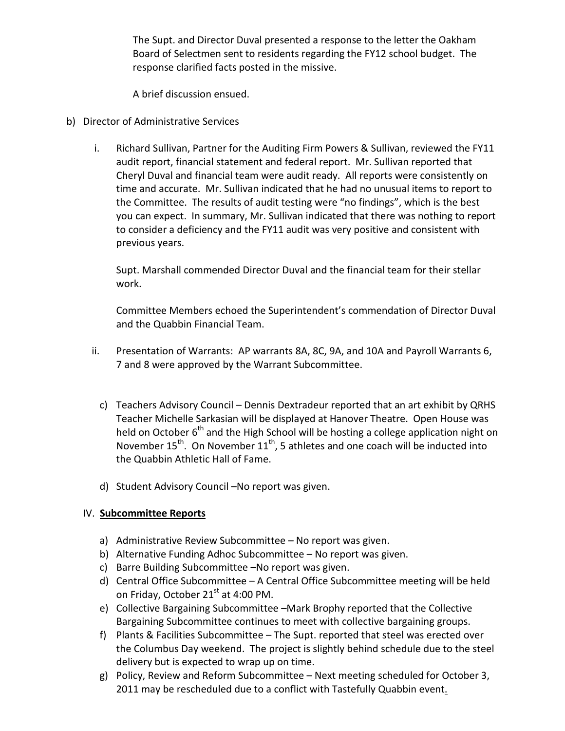The Supt. and Director Duval presented a response to the letter the Oakham Board of Selectmen sent to residents regarding the FY12 school budget. The response clarified facts posted in the missive.

A brief discussion ensued.

- b) Director of Administrative Services
	- i. Richard Sullivan, Partner for the Auditing Firm Powers & Sullivan, reviewed the FY11 audit report, financial statement and federal report. Mr. Sullivan reported that Cheryl Duval and financial team were audit ready. All reports were consistently on time and accurate. Mr. Sullivan indicated that he had no unusual items to report to the Committee. The results of audit testing were "no findings", which is the best you can expect. In summary, Mr. Sullivan indicated that there was nothing to report to consider a deficiency and the FY11 audit was very positive and consistent with previous years.

Supt. Marshall commended Director Duval and the financial team for their stellar work.

Committee Members echoed the Superintendent's commendation of Director Duval and the Quabbin Financial Team.

- ii. Presentation of Warrants: AP warrants 8A, 8C, 9A, and 10A and Payroll Warrants 6, 7 and 8 were approved by the Warrant Subcommittee.
	- c) Teachers Advisory Council Dennis Dextradeur reported that an art exhibit by QRHS Teacher Michelle Sarkasian will be displayed at Hanover Theatre. Open House was held on October  $6<sup>th</sup>$  and the High School will be hosting a college application night on November  $15^{th}$ . On November  $11^{th}$ , 5 athletes and one coach will be inducted into the Quabbin Athletic Hall of Fame.
	- d) Student Advisory Council –No report was given.

# IV. **Subcommittee Reports**

- a) Administrative Review Subcommittee No report was given.
- b) Alternative Funding Adhoc Subcommittee No report was given.
- c) Barre Building Subcommittee –No report was given.
- d) Central Office Subcommittee A Central Office Subcommittee meeting will be held on Friday, October 21<sup>st</sup> at 4:00 PM.
- e) Collective Bargaining Subcommittee –Mark Brophy reported that the Collective Bargaining Subcommittee continues to meet with collective bargaining groups.
- f) Plants & Facilities Subcommittee The Supt. reported that steel was erected over the Columbus Day weekend. The project is slightly behind schedule due to the steel delivery but is expected to wrap up on time.
- g) Policy, Review and Reform Subcommittee Next meeting scheduled for October 3, 2011 may be rescheduled due to a conflict with Tastefully Quabbin event.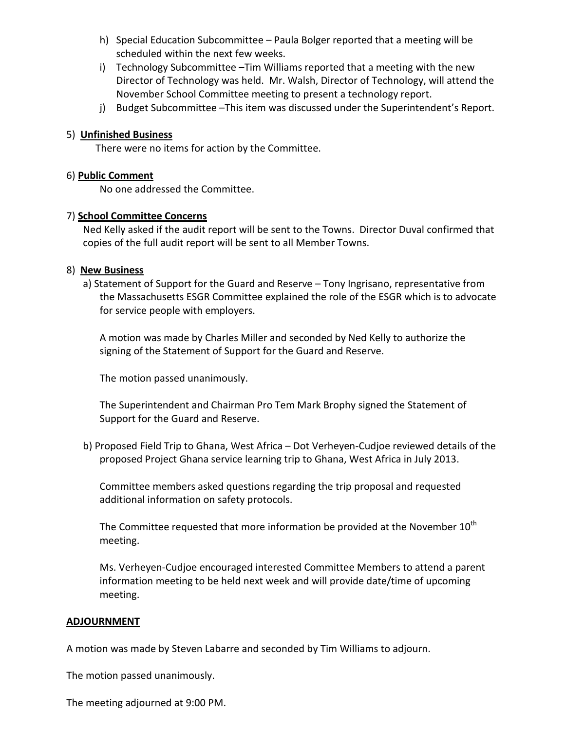- h) Special Education Subcommittee Paula Bolger reported that a meeting will be scheduled within the next few weeks.
- i) Technology Subcommittee –Tim Williams reported that a meeting with the new Director of Technology was held. Mr. Walsh, Director of Technology, will attend the November School Committee meeting to present a technology report.
- j) Budget Subcommittee –This item was discussed under the Superintendent's Report.

### 5) **Unfinished Business**

There were no items for action by the Committee.

### 6) **Public Comment**

No one addressed the Committee.

### 7) **School Committee Concerns**

Ned Kelly asked if the audit report will be sent to the Towns. Director Duval confirmed that copies of the full audit report will be sent to all Member Towns.

#### 8) **New Business**

a) Statement of Support for the Guard and Reserve – Tony Ingrisano, representative from the Massachusetts ESGR Committee explained the role of the ESGR which is to advocate for service people with employers.

A motion was made by Charles Miller and seconded by Ned Kelly to authorize the signing of the Statement of Support for the Guard and Reserve.

The motion passed unanimously.

The Superintendent and Chairman Pro Tem Mark Brophy signed the Statement of Support for the Guard and Reserve.

b) Proposed Field Trip to Ghana, West Africa – Dot Verheyen-Cudjoe reviewed details of the proposed Project Ghana service learning trip to Ghana, West Africa in July 2013.

Committee members asked questions regarding the trip proposal and requested additional information on safety protocols.

The Committee requested that more information be provided at the November  $10^{th}$ meeting.

Ms. Verheyen-Cudjoe encouraged interested Committee Members to attend a parent information meeting to be held next week and will provide date/time of upcoming meeting.

#### **ADJOURNMENT**

A motion was made by Steven Labarre and seconded by Tim Williams to adjourn.

The motion passed unanimously.

The meeting adjourned at 9:00 PM.